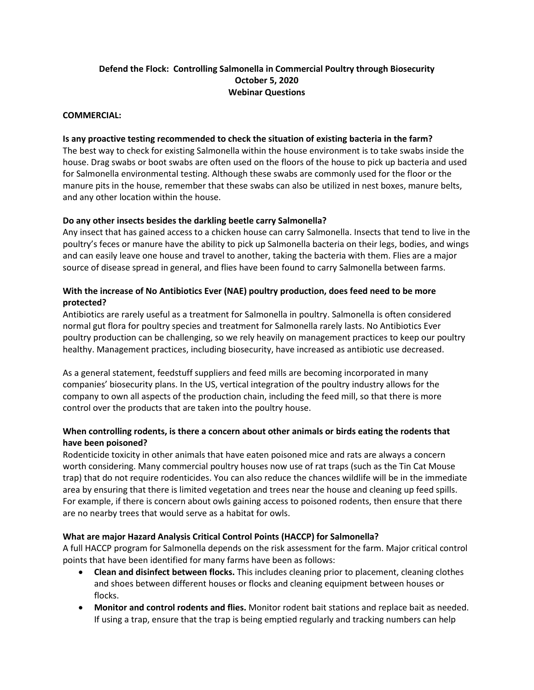# **Defend the Flock: Controlling Salmonella in Commercial Poultry through Biosecurity October 5, 2020 Webinar Questions**

#### **COMMERCIAL:**

#### **Is any proactive testing recommended to check the situation of existing bacteria in the farm?**

The best way to check for existing Salmonella within the house environment is to take swabs inside the house. Drag swabs or boot swabs are often used on the floors of the house to pick up bacteria and used for Salmonella environmental testing. Although these swabs are commonly used for the floor or the manure pits in the house, remember that these swabs can also be utilized in nest boxes, manure belts, and any other location within the house.

### **Do any other insects besides the darkling beetle carry Salmonella?**

Any insect that has gained access to a chicken house can carry Salmonella. Insects that tend to live in the poultry's feces or manure have the ability to pick up Salmonella bacteria on their legs, bodies, and wings and can easily leave one house and travel to another, taking the bacteria with them. Flies are a major source of disease spread in general, and flies have been found to carry Salmonella between farms.

### **With the increase of No Antibiotics Ever (NAE) poultry production, does feed need to be more protected?**

Antibiotics are rarely useful as a treatment for Salmonella in poultry. Salmonella is often considered normal gut flora for poultry species and treatment for Salmonella rarely lasts. No Antibiotics Ever poultry production can be challenging, so we rely heavily on management practices to keep our poultry healthy. Management practices, including biosecurity, have increased as antibiotic use decreased.

As a general statement, feedstuff suppliers and feed mills are becoming incorporated in many companies' biosecurity plans. In the US, vertical integration of the poultry industry allows for the company to own all aspects of the production chain, including the feed mill, so that there is more control over the products that are taken into the poultry house.

### **When controlling rodents, is there a concern about other animals or birds eating the rodents that have been poisoned?**

Rodenticide toxicity in other animals that have eaten poisoned mice and rats are always a concern worth considering. Many commercial poultry houses now use of rat traps (such as the Tin Cat Mouse trap) that do not require rodenticides. You can also reduce the chances wildlife will be in the immediate area by ensuring that there is limited vegetation and trees near the house and cleaning up feed spills. For example, if there is concern about owls gaining access to poisoned rodents, then ensure that there are no nearby trees that would serve as a habitat for owls.

### **What are major Hazard Analysis Critical Control Points (HACCP) for Salmonella?**

A full HACCP program for Salmonella depends on the risk assessment for the farm. Major critical control points that have been identified for many farms have been as follows:

- **Clean and disinfect between flocks.** This includes cleaning prior to placement, cleaning clothes and shoes between different houses or flocks and cleaning equipment between houses or flocks.
- **Monitor and control rodents and flies.** Monitor rodent bait stations and replace bait as needed. If using a trap, ensure that the trap is being emptied regularly and tracking numbers can help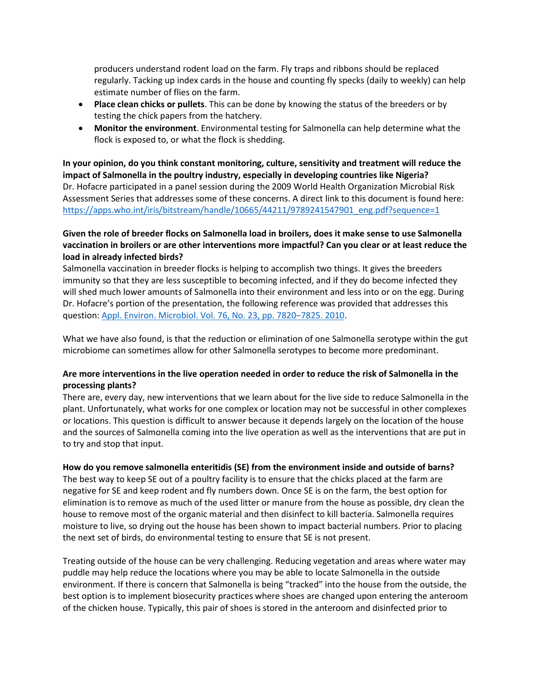producers understand rodent load on the farm. Fly traps and ribbons should be replaced regularly. Tacking up index cards in the house and counting fly specks (daily to weekly) can help estimate number of flies on the farm.

- **Place clean chicks or pullets**. This can be done by knowing the status of the breeders or by testing the chick papers from the hatchery.
- **Monitor the environment**. Environmental testing for Salmonella can help determine what the flock is exposed to, or what the flock is shedding.

**In your opinion, do you think constant monitoring, culture, sensitivity and treatment will reduce the impact of Salmonella in the poultry industry, especially in developing countries like Nigeria?** Dr. Hofacre participated in a panel session during the 2009 World Health Organization Microbial Risk Assessment Series that addresses some of these concerns. A direct link to this document is found here: [https://apps.who.int/iris/bitstream/handle/10665/44211/9789241547901\\_eng.pdf?sequence=1](https://apps.who.int/iris/bitstream/handle/10665/44211/9789241547901_eng.pdf?sequence=1)

## **Given the role of breeder flocks on Salmonella load in broilers, does it make sense to use Salmonella vaccination in broilers or are other interventions more impactful? Can you clear or at least reduce the load in already infected birds?**

Salmonella vaccination in breeder flocks is helping to accomplish two things. It gives the breeders immunity so that they are less susceptible to becoming infected, and if they do become infected they will shed much lower amounts of Salmonella into their environment and less into or on the egg. During Dr. Hofacre's portion of the presentation, the following reference was provided that addresses this question[: Appl. Environ. Microbiol. Vol. 76, No. 23, pp. 7820–7825. 2010.](https://aem.asm.org/content/76/23/7820.short)

What we have also found, is that the reduction or elimination of one Salmonella serotype within the gut microbiome can sometimes allow for other Salmonella serotypes to become more predominant.

# **Are more interventions in the live operation needed in order to reduce the risk of Salmonella in the processing plants?**

There are, every day, new interventions that we learn about for the live side to reduce Salmonella in the plant. Unfortunately, what works for one complex or location may not be successful in other complexes or locations. This question is difficult to answer because it depends largely on the location of the house and the sources of Salmonella coming into the live operation as well as the interventions that are put in to try and stop that input.

### **How do you remove salmonella enteritidis (SE) from the environment inside and outside of barns?**

The best way to keep SE out of a poultry facility is to ensure that the chicks placed at the farm are negative for SE and keep rodent and fly numbers down. Once SE is on the farm, the best option for elimination is to remove as much of the used litter or manure from the house as possible, dry clean the house to remove most of the organic material and then disinfect to kill bacteria. Salmonella requires moisture to live, so drying out the house has been shown to impact bacterial numbers. Prior to placing the next set of birds, do environmental testing to ensure that SE is not present.

Treating outside of the house can be very challenging. Reducing vegetation and areas where water may puddle may help reduce the locations where you may be able to locate Salmonella in the outside environment. If there is concern that Salmonella is being "tracked" into the house from the outside, the best option is to implement biosecurity practices where shoes are changed upon entering the anteroom of the chicken house. Typically, this pair of shoes is stored in the anteroom and disinfected prior to